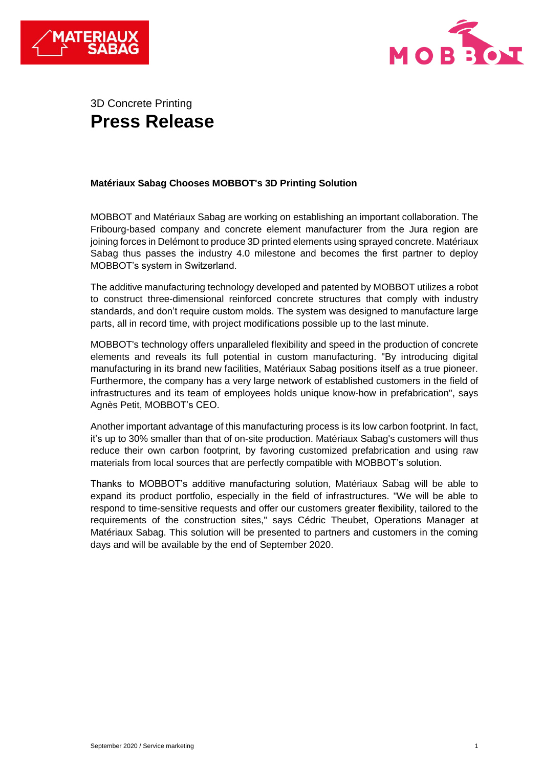



# 3D Concrete Printing **Press Release**

# **Matériaux Sabag Chooses MOBBOT's 3D Printing Solution**

MOBBOT and Matériaux Sabag are working on establishing an important collaboration. The Fribourg-based company and concrete element manufacturer from the Jura region are joining forces in Delémont to produce 3D printed elements using sprayed concrete. Matériaux Sabag thus passes the industry 4.0 milestone and becomes the first partner to deploy MOBBOT's system in Switzerland.

The additive manufacturing technology developed and patented by MOBBOT utilizes a robot to construct three-dimensional reinforced concrete structures that comply with industry standards, and don't require custom molds. The system was designed to manufacture large parts, all in record time, with project modifications possible up to the last minute.

MOBBOT's technology offers unparalleled flexibility and speed in the production of concrete elements and reveals its full potential in custom manufacturing. "By introducing digital manufacturing in its brand new facilities, Matériaux Sabag positions itself as a true pioneer. Furthermore, the company has a very large network of established customers in the field of infrastructures and its team of employees holds unique know-how in prefabrication", says Agnès Petit, MOBBOT's CEO.

Another important advantage of this manufacturing process is its low carbon footprint. In fact, it's up to 30% smaller than that of on-site production. Matériaux Sabag's customers will thus reduce their own carbon footprint, by favoring customized prefabrication and using raw materials from local sources that are perfectly compatible with MOBBOT's solution.

Thanks to MOBBOT's additive manufacturing solution, Matériaux Sabag will be able to expand its product portfolio, especially in the field of infrastructures. "We will be able to respond to time-sensitive requests and offer our customers greater flexibility, tailored to the requirements of the construction sites," says Cédric Theubet, Operations Manager at Matériaux Sabag. This solution will be presented to partners and customers in the coming days and will be available by the end of September 2020.